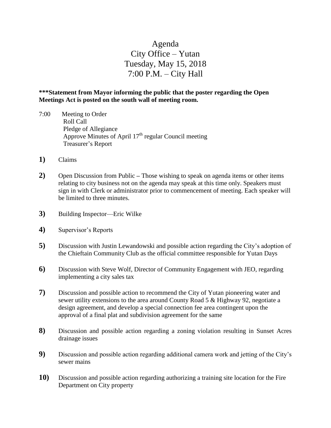## Agenda City Office – Yutan Tuesday, May 15, 2018 7:00 P.M. – City Hall

## **\*\*\*Statement from Mayor informing the public that the poster regarding the Open Meetings Act is posted on the south wall of meeting room.**

- 7:00 Meeting to Order Roll Call Pledge of Allegiance Approve Minutes of April  $17<sup>th</sup>$  regular Council meeting Treasurer's Report
- **1)** Claims
- **2)** Open Discussion from Public **–** Those wishing to speak on agenda items or other items relating to city business not on the agenda may speak at this time only. Speakers must sign in with Clerk or administrator prior to commencement of meeting. Each speaker will be limited to three minutes.
- **3)** Building Inspector—Eric Wilke
- **4)** Supervisor's Reports
- **5)** Discussion with Justin Lewandowski and possible action regarding the City's adoption of the Chieftain Community Club as the official committee responsible for Yutan Days
- **6)** Discussion with Steve Wolf, Director of Community Engagement with JEO, regarding implementing a city sales tax
- **7)** Discussion and possible action to recommend the City of Yutan pioneering water and sewer utility extensions to the area around County Road 5 & Highway 92, negotiate a design agreement, and develop a special connection fee area contingent upon the approval of a final plat and subdivision agreement for the same
- **8)** Discussion and possible action regarding a zoning violation resulting in Sunset Acres drainage issues
- **9)** Discussion and possible action regarding additional camera work and jetting of the City's sewer mains
- **10)** Discussion and possible action regarding authorizing a training site location for the Fire Department on City property